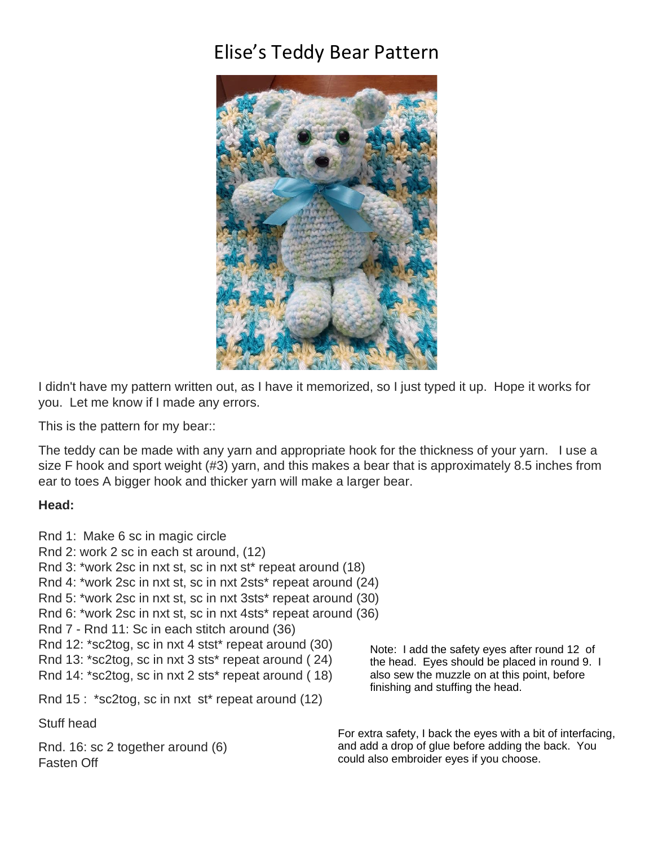# Elise's Teddy Bear Pattern



I didn't have my pattern written out, as I have it memorized, so I just typed it up. Hope it works for you. Let me know if I made any errors.

This is the pattern for my bear::

The teddy can be made with any yarn and appropriate hook for the thickness of your yarn. I use a size F hook and sport weight (#3) yarn, and this makes a bear that is approximately 8.5 inches from ear to toes A bigger hook and thicker yarn will make a larger bear.

#### **Head:**

Rnd 1: Make 6 sc in magic circle Rnd 2: work 2 sc in each st around, (12) Rnd 3: \*work 2sc in nxt st, sc in nxt st\* repeat around (18) Rnd 4: \*work 2sc in nxt st, sc in nxt 2sts\* repeat around (24) Rnd 5: \*work 2sc in nxt st, sc in nxt 3sts\* repeat around (30) Rnd 6: \*work 2sc in nxt st, sc in nxt 4sts\* repeat around (36) Rnd 7 - Rnd 11: Sc in each stitch around (36) Rnd 12: \*sc2tog, sc in nxt 4 stst\* repeat around (30) Rnd 13: \*sc2tog, sc in nxt 3 sts\* repeat around ( 24) Rnd 14: \*sc2tog, sc in nxt 2 sts\* repeat around ( 18) Rnd 15 : \*sc2tog, sc in nxt st\* repeat around (12) Stuff head Rnd. 16: sc 2 together around (6) Fasten Off

Note: I add the safety eyes after round 12 of the head. Eyes should be placed in round 9. I also sew the muzzle on at this point, before finishing and stuffing the head.

For extra safety, I back the eyes with a bit of interfacing, and add a drop of glue before adding the back. You could also embroider eyes if you choose.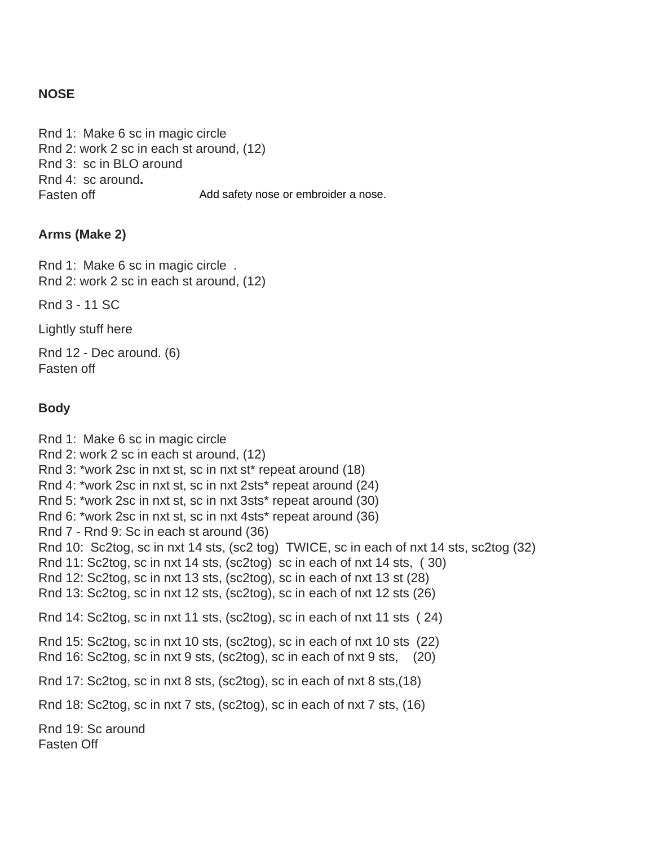#### **NOSE**

Rnd 1: Make 6 sc in magic circle Rnd 2: work 2 sc in each st around, (12) Rnd 3: sc in BLO around Rnd 4: sc around**.**  Fasten off Add safety nose or embroider a nose.

#### **Arms (Make 2)**

Rnd 1: Make 6 sc in magic circle . Rnd 2: work 2 sc in each st around, (12)

Rnd 3 - 11 SC

Lightly stuff here

Rnd 12 - Dec around. (6) Fasten off

#### **Body**

Rnd 1: Make 6 sc in magic circle Rnd 2: work 2 sc in each st around, (12) Rnd 3: \*work 2sc in nxt st, sc in nxt st\* repeat around (18) Rnd 4: \*work 2sc in nxt st, sc in nxt 2sts\* repeat around (24) Rnd 5: \*work 2sc in nxt st, sc in nxt 3sts\* repeat around (30) Rnd 6: \*work 2sc in nxt st, sc in nxt 4sts\* repeat around (36) Rnd 7 - Rnd 9: Sc in each st around (36) Rnd 10: Sc2tog, sc in nxt 14 sts, (sc2 tog) TWICE, sc in each of nxt 14 sts, sc2tog (32) Rnd 11: Sc2tog, sc in nxt 14 sts, (sc2tog) sc in each of nxt 14 sts, ( 30) Rnd 12: Sc2tog, sc in nxt 13 sts, (sc2tog), sc in each of nxt 13 st (28) Rnd 13: Sc2tog, sc in nxt 12 sts, (sc2tog), sc in each of nxt 12 sts (26) Rnd 14: Sc2tog, sc in nxt 11 sts, (sc2tog), sc in each of nxt 11 sts ( 24) Rnd 15: Sc2tog, sc in nxt 10 sts, (sc2tog), sc in each of nxt 10 sts (22) Rnd 16: Sc2tog, sc in nxt 9 sts, (sc2tog), sc in each of nxt 9 sts, (20) Rnd 17: Sc2tog, sc in nxt 8 sts, (sc2tog), sc in each of nxt 8 sts,(18) Rnd 18: Sc2tog, sc in nxt 7 sts, (sc2tog), sc in each of nxt 7 sts, (16) Rnd 19: Sc around Fasten Off